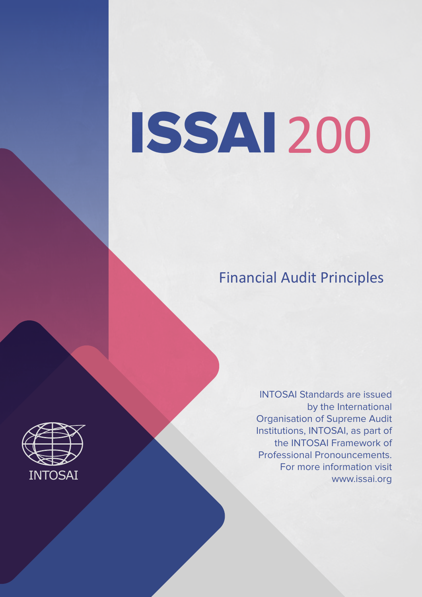# ISSAI 200

# Financial Audit Principles

INTOSAI Standards are issued by the International Organisation of Supreme Audit Institutions, INTOSAI, as part of the INTOSAI Framework of Professional Pronouncements. For more information visit www.issai.org

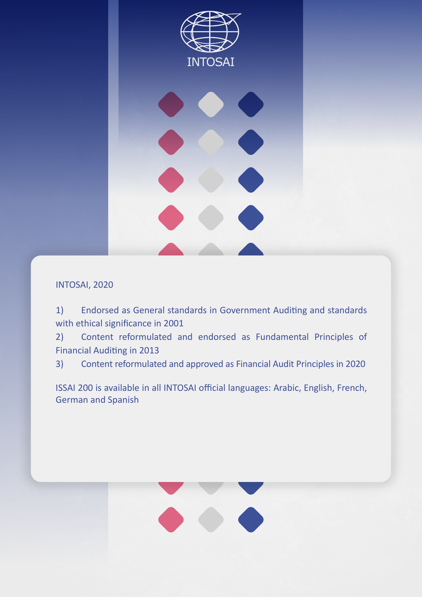

#### INTOSAI, 2020

1) Endorsed as General standards in Government Auditing and standards with ethical significance in 2001

2) Content reformulated and endorsed as Fundamental Principles of Financial Auditing in 2013

3) Content reformulated and approved as Financial Audit Principles in 2020

ISSAI 200 is available in all INTOSAI official languages: Arabic, English, French, German and Spanish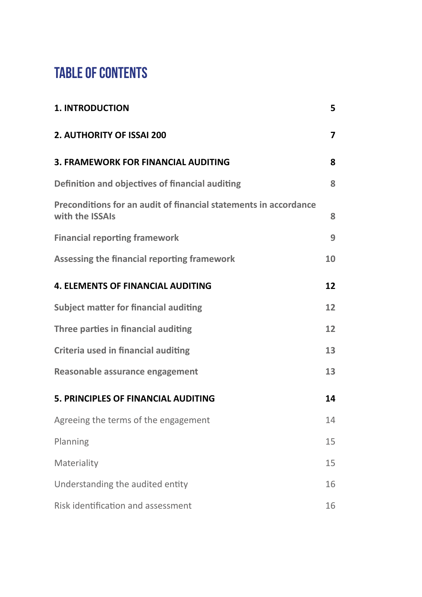# **TABLE OF CONTENTS**

| <b>1. INTRODUCTION</b>                                                              | 5              |
|-------------------------------------------------------------------------------------|----------------|
| 2. AUTHORITY OF ISSAI 200                                                           | $\overline{7}$ |
| <b>3. FRAMEWORK FOR FINANCIAL AUDITING</b>                                          | 8              |
| Definition and objectives of financial auditing                                     | 8              |
| Preconditions for an audit of financial statements in accordance<br>with the ISSAIs | 8              |
| <b>Financial reporting framework</b>                                                | 9              |
| <b>Assessing the financial reporting framework</b>                                  | 10             |
| <b>4. ELEMENTS OF FINANCIAL AUDITING</b>                                            | 12             |
| <b>Subject matter for financial auditing</b>                                        | 12             |
| Three parties in financial auditing                                                 | 12             |
| <b>Criteria used in financial auditing</b>                                          | 13             |
| Reasonable assurance engagement                                                     | 13             |
| 5. PRINCIPLES OF FINANCIAL AUDITING                                                 | 14             |
| Agreeing the terms of the engagement                                                | 14             |
| Planning                                                                            | 15             |
| Materiality                                                                         | 15             |
| Understanding the audited entity                                                    | 16             |
| Risk identification and assessment                                                  | 16             |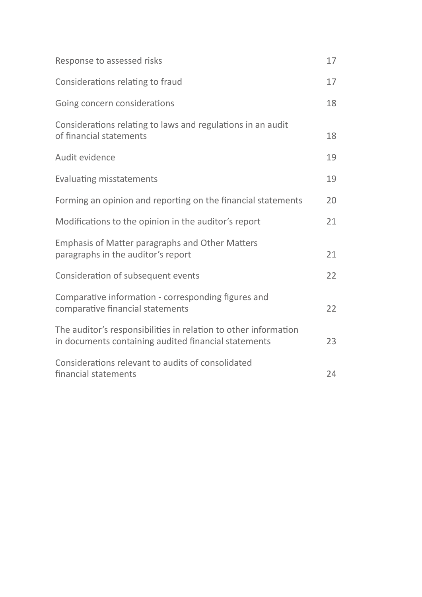| Response to assessed risks                                                                                              | 17 |
|-------------------------------------------------------------------------------------------------------------------------|----|
| Considerations relating to fraud                                                                                        | 17 |
| Going concern considerations                                                                                            | 18 |
| Considerations relating to laws and regulations in an audit<br>of financial statements                                  | 18 |
| Audit evidence                                                                                                          | 19 |
| <b>Evaluating misstatements</b>                                                                                         | 19 |
| Forming an opinion and reporting on the financial statements                                                            | 20 |
| Modifications to the opinion in the auditor's report                                                                    | 21 |
| <b>Emphasis of Matter paragraphs and Other Matters</b><br>paragraphs in the auditor's report                            | 21 |
| Consideration of subsequent events                                                                                      | 22 |
| Comparative information - corresponding figures and<br>comparative financial statements                                 | 22 |
| The auditor's responsibilities in relation to other information<br>in documents containing audited financial statements | 23 |
| Considerations relevant to audits of consolidated<br>financial statements                                               | 24 |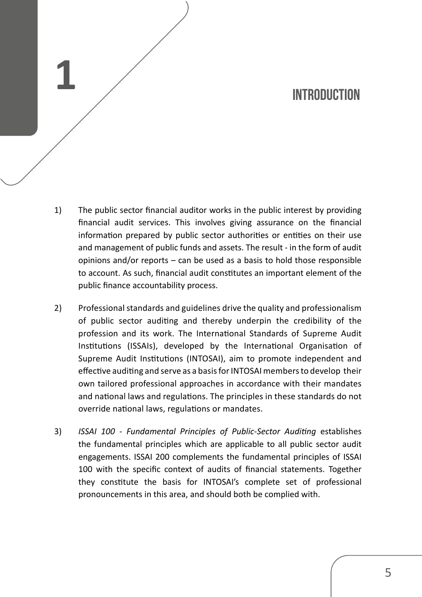## **INTRODUCTION**

1) The public sector financial auditor works in the public interest by providing financial audit services. This involves giving assurance on the financial information prepared by public sector authorities or entities on their use and management of public funds and assets. The result - in the form of audit opinions and/or reports – can be used as a basis to hold those responsible to account. As such, financial audit constitutes an important element of the public finance accountability process.

**1**

- 2) Professional standards and guidelines drive the quality and professionalism of public sector auditing and thereby underpin the credibility of the profession and its work. The International Standards of Supreme Audit Institutions (ISSAIs), developed by the International Organisation of Supreme Audit Institutions (INTOSAI), aim to promote independent and effective auditing and serve as a basis for INTOSAI members to develop their own tailored professional approaches in accordance with their mandates and national laws and regulations. The principles in these standards do not override national laws, regulations or mandates.
- 3) *ISSAI 100 - Fundamental Principles of Public-Sector Auditing* establishes the fundamental principles which are applicable to all public sector audit engagements. ISSAI 200 complements the fundamental principles of ISSAI 100 with the specific context of audits of financial statements. Together they constitute the basis for INTOSAI's complete set of professional pronouncements in this area, and should both be complied with.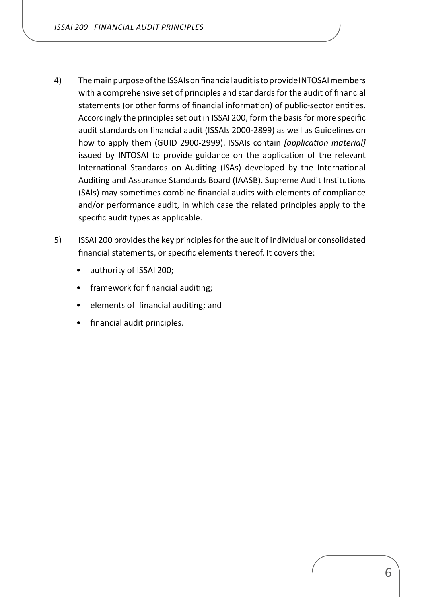- 4) The main purpose of the ISSAIs on financial audit is to provide INTOSAI members with a comprehensive set of principles and standards for the audit of financial statements (or other forms of financial information) of public-sector entities. Accordingly the principles set out in ISSAI 200, form the basis for more specific audit standards on financial audit (ISSAIs 2000-2899) as well as Guidelines on how to apply them (GUID 2900-2999). ISSAIs contain *[application material]* issued by INTOSAI to provide guidance on the application of the relevant International Standards on Auditing (ISAs) developed by the International Auditing and Assurance Standards Board (IAASB). Supreme Audit Institutions (SAIs) may sometimes combine financial audits with elements of compliance and/or performance audit, in which case the related principles apply to the specific audit types as applicable.
- 5) ISSAI 200 provides the key principles for the audit of individual or consolidated financial statements, or specific elements thereof. It covers the:
	- authority of ISSAI 200;
	- framework for financial auditing;
	- elements of financial auditing; and
	- financial audit principles.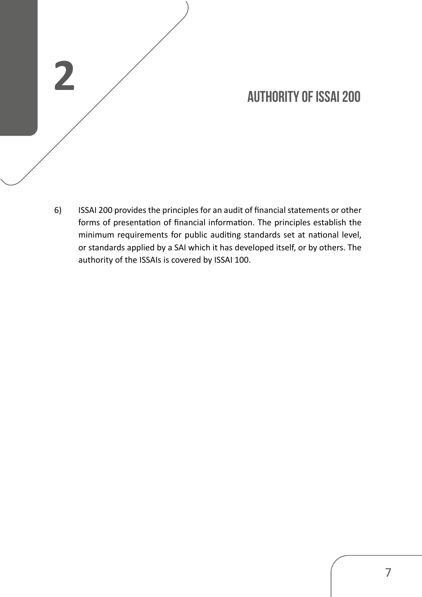# **AUTHORITY OF ISSAI 200**

6) ISSAI 200 provides the principles for an audit of financial statements or other forms of presentation of financial information. The principles establish the minimum requirements for public auditing standards set at national level, or standards applied by a SAI which it has developed itself, or by others. The authority of the ISSAIs is covered by ISSAI 100.

<span id="page-6-0"></span>**2**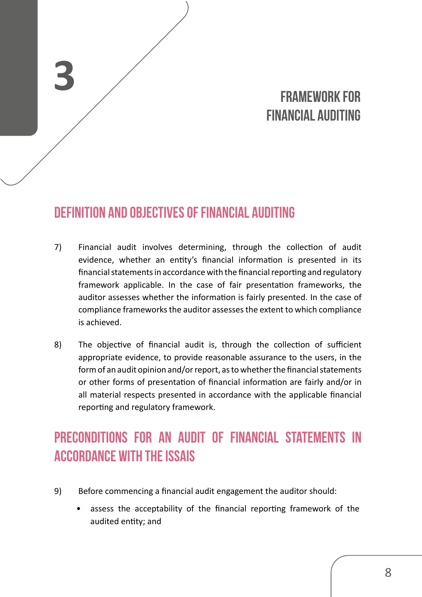# **FRAMEWORK FOR FINANCIAL AUDITING**

# **Definition and objectives of financial auditing**

<span id="page-7-0"></span>**3**

- 7) Financial audit involves determining, through the collection of audit evidence, whether an entity's financial information is presented in its financial statements in accordance with the financial reporting and regulatory framework applicable. In the case of fair presentation frameworks, the auditor assesses whether the information is fairly presented. In the case of compliance frameworksthe auditor assessesthe extent to which compliance is achieved.
- 8) The objective of financial audit is, through the collection of sufficient appropriate evidence, to provide reasonable assurance to the users, in the form of an audit opinion and/or report, as to whether the financial statements or other forms of presentation of financial information are fairly and/or in all material respects presented in accordance with the applicable financial reporting and regulatory framework.

# **Preconditions for an audit of financial statements in accordance with the ISSAIs**

- 9) Before commencing a financial audit engagement the auditor should:
	- assess the acceptability of the financial reporting framework of the audited entity; and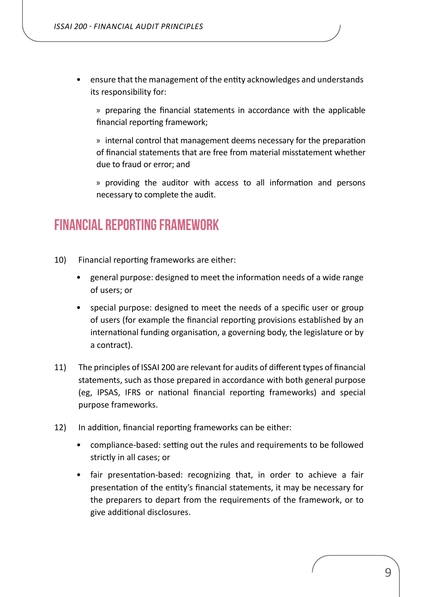<span id="page-8-0"></span>• ensure that the management of the entity acknowledges and understands its responsibility for:

» preparing the financial statements in accordance with the applicable financial reporting framework;

» internal control that management deems necessary for the preparation of financial statements that are free from material misstatement whether due to fraud or error; and

» providing the auditor with access to all information and persons necessary to complete the audit.

## **Financial reporting framework**

- 10) Financial reporting frameworks are either:
	- general purpose: designed to meet the information needs of a wide range of users; or
	- special purpose: designed to meet the needs of a specific user or group of users (for example the financial reporting provisions established by an international funding organisation, a governing body, the legislature or by a contract).
- 11) The principles of ISSAI 200 are relevant for audits of different types of financial statements, such as those prepared in accordance with both general purpose (eg, IPSAS, IFRS or national financial reporting frameworks) and special purpose frameworks.
- 12) In addition, financial reporting frameworks can be either:
	- compliance-based: setting out the rules and requirements to be followed strictly in all cases; or
	- fair presentation-based: recognizing that, in order to achieve a fair presentation of the entity's financial statements, it may be necessary for the preparers to depart from the requirements of the framework, or to give additional disclosures.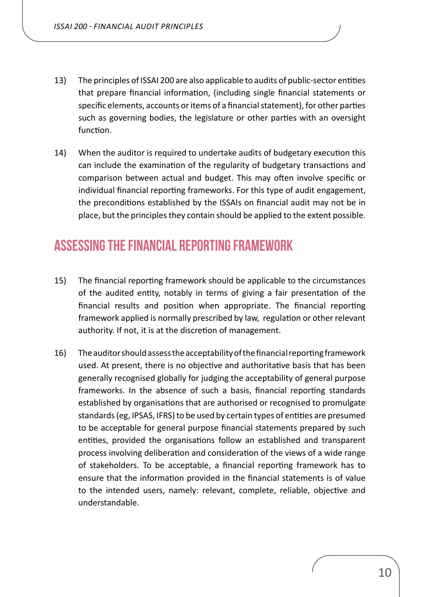- <span id="page-9-0"></span>13) The principles of ISSAI 200 are also applicable to audits of public-sector entities that prepare financial information, (including single financial statements or specific elements, accounts or items of a financial statement), for other parties such as governing bodies, the legislature or other parties with an oversight function.
- 14) When the auditor is required to undertake audits of budgetary execution this can include the examination of the regularity of budgetary transactions and comparison between actual and budget. This may often involve specific or individual financial reporting frameworks. For this type of audit engagement, the preconditions established by the ISSAIs on financial audit may not be in place, but the principlesthey contain should be applied to the extent possible.

## **Assessing the financial reporting framework**

- 15) The financial reporting framework should be applicable to the circumstances of the audited entity, notably in terms of giving a fair presentation of the financial results and position when appropriate. The financial reporting framework applied is normally prescribed by law, regulation or other relevant authority. If not, it is at the discretion of management.
- 16) The auditor should assess the acceptability of the financial reporting framework used. At present, there is no objective and authoritative basis that has been generally recognised globally for judging the acceptability of general purpose frameworks. In the absence of such a basis, financial reporting standards established by organisations that are authorised or recognised to promulgate standards (eg, IPSAS, IFRS) to be used by certain types of entities are presumed to be acceptable for general purpose financial statements prepared by such entities, provided the organisations follow an established and transparent process involving deliberation and consideration of the views of a wide range of stakeholders. To be acceptable, a financial reporting framework has to ensure that the information provided in the financial statements is of value to the intended users, namely: relevant, complete, reliable, objective and understandable.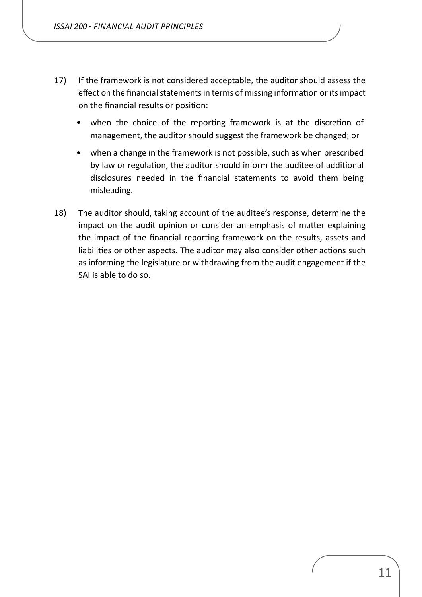- 17) If the framework is not considered acceptable, the auditor should assess the effect on the financial statements in terms of missing information or its impact on the financial results or position:
	- when the choice of the reporting framework is at the discretion of management, the auditor should suggest the framework be changed; or
	- when a change in the framework is not possible, such as when prescribed by law or regulation, the auditor should inform the auditee of additional disclosures needed in the financial statements to avoid them being misleading.
- 18) The auditor should, taking account of the auditee's response, determine the impact on the audit opinion or consider an emphasis of matter explaining the impact of the financial reporting framework on the results, assets and liabilities or other aspects. The auditor may also consider other actions such as informing the legislature or withdrawing from the audit engagement if the SAI is able to do so.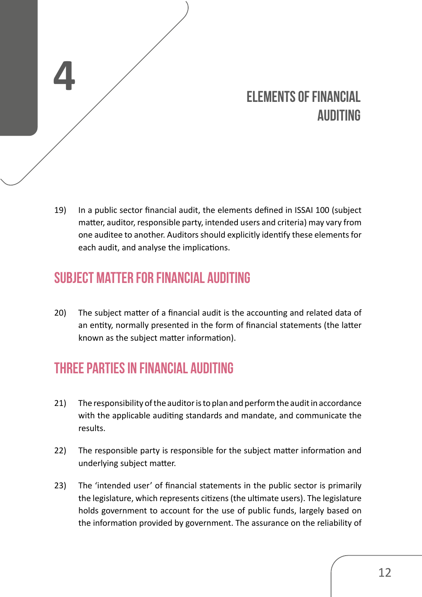# **ELEMENTS OF FINANCIAL AUDITING**

19) In a public sector financial audit, the elements defined in ISSAI 100 (subject matter, auditor, responsible party, intended users and criteria) may vary from one auditee to another. Auditors should explicitly identify these elements for each audit, and analyse the implications.

# **Subject matter for financial auditing**

<span id="page-11-0"></span>**4**

20) The subject matter of a financial audit is the accounting and related data of an entity, normally presented in the form of financial statements (the latter known as the subject matter information).

# **Three parties in financial auditing**

- 21) The responsibility of the auditor is to plan and perform the audit in accordance with the applicable auditing standards and mandate, and communicate the results.
- 22) The responsible party is responsible for the subject matter information and underlying subject matter.
- 23) The 'intended user' of financial statements in the public sector is primarily the legislature, which represents citizens(the ultimate users). The legislature holds government to account for the use of public funds, largely based on the information provided by government. The assurance on the reliability of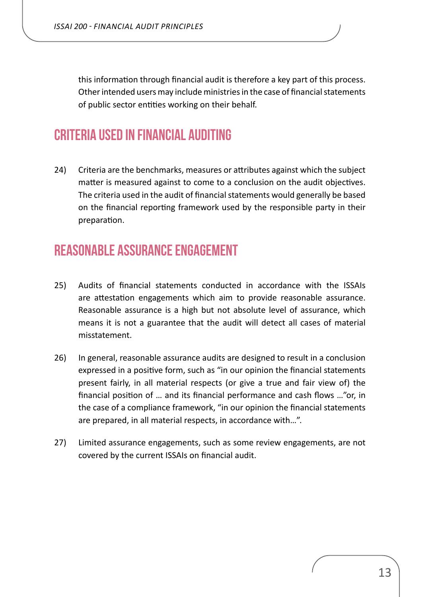<span id="page-12-0"></span>this information through financial audit is therefore a key part of this process. Other intended users may include ministries in the case of financial statements of public sector entities working on their behalf.

## **Criteria used in financial auditing**

24) Criteria are the benchmarks, measures or attributes against which the subject matter is measured against to come to a conclusion on the audit objectives. The criteria used in the audit of financial statements would generally be based on the financial reporting framework used by the responsible party in their preparation.

## **Reasonable assurance engagement**

- 25) Audits of financial statements conducted in accordance with the ISSAIs are attestation engagements which aim to provide reasonable assurance. Reasonable assurance is a high but not absolute level of assurance, which means it is not a guarantee that the audit will detect all cases of material misstatement.
- 26) In general, reasonable assurance audits are designed to result in a conclusion expressed in a positive form, such as "in our opinion the financial statements present fairly, in all material respects (or give a true and fair view of) the financial position of … and its financial performance and cash flows …"or, in the case of a compliance framework, "in our opinion the financial statements are prepared, in all material respects, in accordance with…".
- 27) Limited assurance engagements, such as some review engagements, are not covered by the current ISSAIs on financial audit.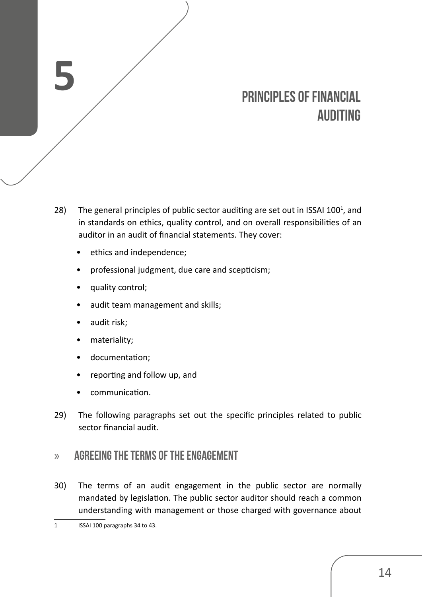# **PRINCIPLES OF FINANCIAL AUDITING**

- 28) The general principles of public sector auditing are set out in ISSAI 100 $^1$ , and in standards on ethics, quality control, and on overall responsibilities of an auditor in an audit of financial statements. They cover:
	- ethics and independence:
	- professional judgment, due care and scepticism;
	- quality control;
	- audit team management and skills;
	- audit risk;

<span id="page-13-0"></span>**5**

- materiality;
- documentation;
- reporting and follow up, and
- communication.
- 29) The following paragraphs set out the specific principles related to public sector financial audit.

#### » **Agreeing the terms of the engagement**

30) The terms of an audit engagement in the public sector are normally mandated by legislation. The public sector auditor should reach a common understanding with management or those charged with governance about

<sup>1</sup> ISSAI 100 paragraphs 34 to 43.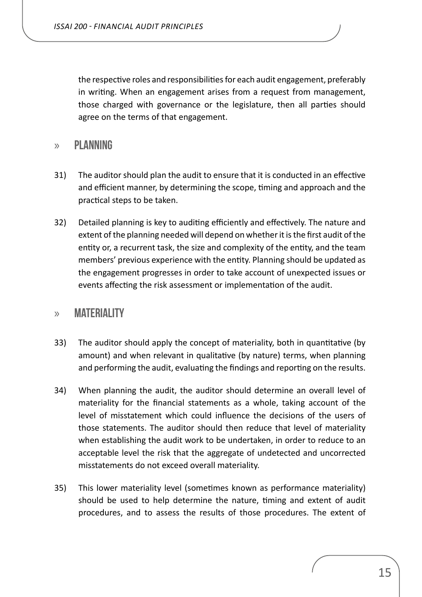<span id="page-14-0"></span>the respective roles and responsibilitiesfor each audit engagement, preferably in writing. When an engagement arises from a request from management, those charged with governance or the legislature, then all parties should agree on the terms of that engagement.

#### » **Planning**

- 31) The auditor should plan the audit to ensure that it is conducted in an effective and efficient manner, by determining the scope, timing and approach and the practical steps to be taken.
- 32) Detailed planning is key to auditing efficiently and effectively. The nature and extent of the planning needed will depend on whether it is the first audit of the entity or, a recurrent task, the size and complexity of the entity, and the team members' previous experience with the entity. Planning should be updated as the engagement progresses in order to take account of unexpected issues or events affecting the risk assessment or implementation of the audit.

#### » **Materiality**

- 33) The auditor should apply the concept of materiality, both in quantitative (by amount) and when relevant in qualitative (by nature) terms, when planning and performing the audit, evaluating the findings and reporting on the results.
- 34) When planning the audit, the auditor should determine an overall level of materiality for the financial statements as a whole, taking account of the level of misstatement which could influence the decisions of the users of those statements. The auditor should then reduce that level of materiality when establishing the audit work to be undertaken, in order to reduce to an acceptable level the risk that the aggregate of undetected and uncorrected misstatements do not exceed overall materiality.
- 35) This lower materiality level (sometimes known as performance materiality) should be used to help determine the nature, timing and extent of audit procedures, and to assess the results of those procedures. The extent of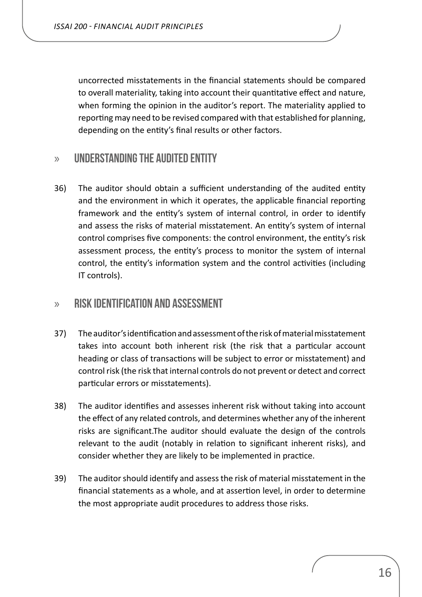<span id="page-15-0"></span>uncorrected misstatements in the financial statements should be compared to overall materiality, taking into account their quantitative effect and nature, when forming the opinion in the auditor's report. The materiality applied to reportingmay need to be revised compared with that established for planning, depending on the entity's final results or other factors.

#### » **Understanding the audited entity**

36) The auditor should obtain a sufficient understanding of the audited entity and the environment in which it operates, the applicable financial reporting framework and the entity's system of internal control, in order to identify and assess the risks of material misstatement. An entity's system of internal control comprises five components: the control environment, the entity's risk assessment process, the entity's process to monitor the system of internal control, the entity's information system and the control activities (including IT controls).

#### » **Risk identification and assessment**

- 37) Theauditor'sidentificationandassessmentoftheriskofmaterialmisstatement takes into account both inherent risk (the risk that a particular account heading or class of transactions will be subject to error or misstatement) and control risk (the risk that internal controls do not prevent or detect and correct particular errors or misstatements).
- 38) The auditor identifies and assesses inherent risk without taking into account the effect of any related controls, and determines whether any of the inherent risks are significant.The auditor should evaluate the design of the controls relevant to the audit (notably in relation to significant inherent risks), and consider whether they are likely to be implemented in practice.
- 39) The auditor should identify and assess the risk of material misstatement in the financial statements as a whole, and at assertion level, in order to determine the most appropriate audit procedures to address those risks.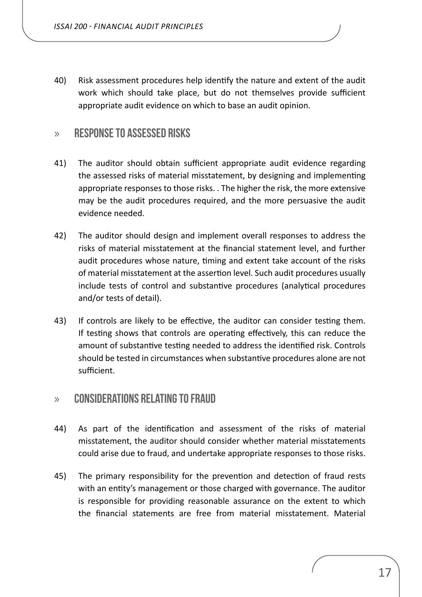<span id="page-16-0"></span>40) Risk assessment procedures help identify the nature and extent of the audit work which should take place, but do not themselves provide sufficient appropriate audit evidence on which to base an audit opinion.

#### » **Response to assessed risks**

- 41) The auditor should obtain sufficient appropriate audit evidence regarding the assessed risks of material misstatement, by designing and implementing appropriate responses to those risks. . The higher the risk, the more extensive may be the audit procedures required, and the more persuasive the audit evidence needed.
- 42) The auditor should design and implement overall responses to address the risks of material misstatement at the financial statement level, and further audit procedures whose nature, timing and extent take account of the risks of material misstatement at the assertion level. Such audit procedures usually include tests of control and substantive procedures (analytical procedures and/or tests of detail).
- 43) If controls are likely to be effective, the auditor can consider testing them. If testing shows that controls are operating effectively, this can reduce the amount of substantive testing needed to address the identified risk. Controls should be tested in circumstances when substantive procedures alone are not sufficient.

#### » **Considerations relating to fraud**

- 44) As part of the identification and assessment of the risks of material misstatement, the auditor should consider whether material misstatements could arise due to fraud, and undertake appropriate responses to those risks.
- 45) The primary responsibility for the prevention and detection of fraud rests with an entity's management or those charged with governance. The auditor is responsible for providing reasonable assurance on the extent to which the financial statements are free from material misstatement. Material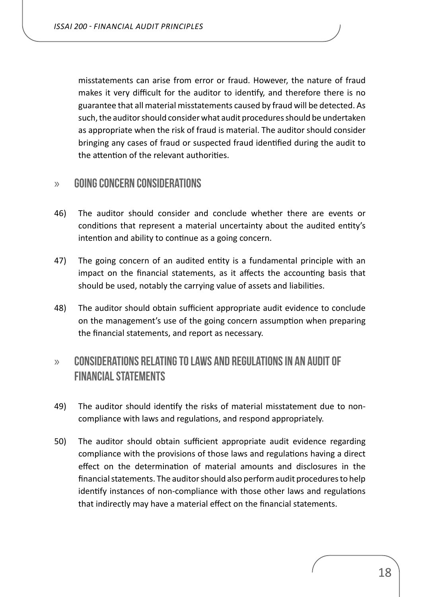<span id="page-17-0"></span>misstatements can arise from error or fraud. However, the nature of fraud makes it very difficult for the auditor to identify, and therefore there is no guarantee that all material misstatements caused by fraud will be detected. As such, the auditor should consider what audit procedures should be undertaken as appropriate when the risk of fraud is material. The auditor should consider bringing any cases of fraud or suspected fraud identified during the audit to the attention of the relevant authorities.

#### » **Going concern considerations**

- 46) The auditor should consider and conclude whether there are events or conditions that represent a material uncertainty about the audited entity's intention and ability to continue as a going concern.
- 47) The going concern of an audited entity is a fundamental principle with an impact on the financial statements, as it affects the accounting basis that should be used, notably the carrying value of assets and liabilities.
- 48) The auditor should obtain sufficient appropriate audit evidence to conclude on the management's use of the going concern assumption when preparing the financial statements, and report as necessary.

## » **Considerations relating to laws and regulations in an audit of financial statements**

- 49) The auditor should identify the risks of material misstatement due to noncompliance with laws and regulations, and respond appropriately.
- 50) The auditor should obtain sufficient appropriate audit evidence regarding compliance with the provisions of those laws and regulations having a direct effect on the determination of material amounts and disclosures in the financial statements. The auditor should also perform audit procedures to help identify instances of non-compliance with those other laws and regulations that indirectly may have a material effect on the financial statements.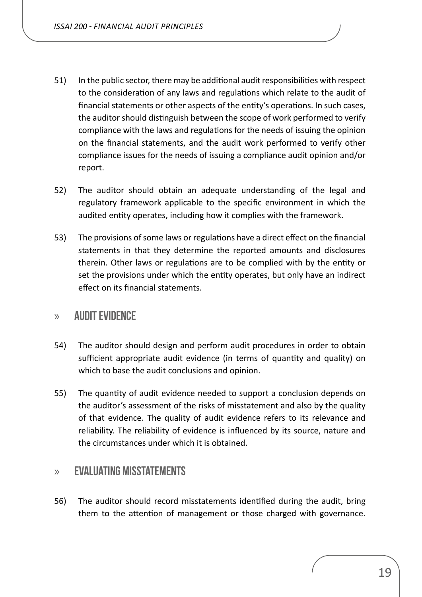- <span id="page-18-0"></span>51) In the public sector, there may be additional audit responsibilities with respect to the consideration of any laws and regulations which relate to the audit of financial statements or other aspects of the entity's operations. In such cases, the auditor should distinguish between the scope of work performed to verify compliance with the laws and regulations for the needs of issuing the opinion on the financial statements, and the audit work performed to verify other compliance issues for the needs of issuing a compliance audit opinion and/or report.
- 52) The auditor should obtain an adequate understanding of the legal and regulatory framework applicable to the specific environment in which the audited entity operates, including how it complies with the framework.
- 53) The provisions of some laws or regulations have a direct effect on the financial statements in that they determine the reported amounts and disclosures therein. Other laws or regulations are to be complied with by the entity or set the provisions under which the entity operates, but only have an indirect effect on its financial statements.

#### » **Audit evidence**

- 54) The auditor should design and perform audit procedures in order to obtain sufficient appropriate audit evidence (in terms of quantity and quality) on which to base the audit conclusions and opinion.
- 55) The quantity of audit evidence needed to support a conclusion depends on the auditor's assessment of the risks of misstatement and also by the quality of that evidence. The quality of audit evidence refers to its relevance and reliability. The reliability of evidence is influenced by its source, nature and the circumstances under which it is obtained.

#### » **Evaluating misstatements**

56) The auditor should record misstatements identified during the audit, bring them to the attention of management or those charged with governance.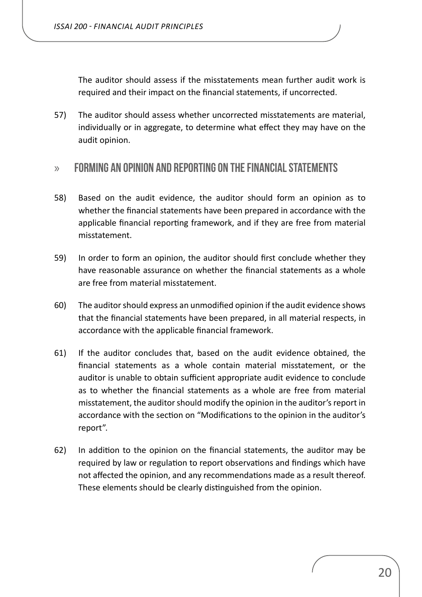<span id="page-19-0"></span>The auditor should assess if the misstatements mean further audit work is required and their impact on the financial statements, if uncorrected.

57) The auditor should assess whether uncorrected misstatements are material, individually or in aggregate, to determine what effect they may have on the audit opinion.

#### » **Forming an opinion and reporting on the financial statements**

- 58) Based on the audit evidence, the auditor should form an opinion as to whether the financial statements have been prepared in accordance with the applicable financial reporting framework, and if they are free from material misstatement.
- 59) In order to form an opinion, the auditor should first conclude whether they have reasonable assurance on whether the financial statements as a whole are free from material misstatement.
- 60) The auditor should express an unmodified opinion if the audit evidence shows that the financial statements have been prepared, in all material respects, in accordance with the applicable financial framework.
- 61) If the auditor concludes that, based on the audit evidence obtained, the financial statements as a whole contain material misstatement, or the auditor is unable to obtain sufficient appropriate audit evidence to conclude as to whether the financial statements as a whole are free from material misstatement, the auditor should modify the opinion in the auditor's report in accordance with the section on "Modifications to the opinion in the auditor's report".
- 62) In addition to the opinion on the financial statements, the auditor may be required by law or regulation to report observations and findings which have not affected the opinion, and any recommendations made as a result thereof. These elements should be clearly distinguished from the opinion.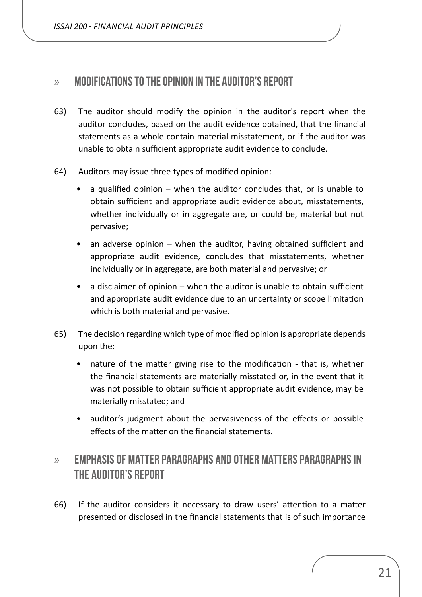<span id="page-20-0"></span>*ISSAI 200 - FINANCIAL AUDIT PRINCIPLES*

#### » **Modifications to the opinion in the auditor's report**

- 63) The auditor should modify the opinion in the auditor's report when the auditor concludes, based on the audit evidence obtained, that the financial statements as a whole contain material misstatement, or if the auditor was unable to obtain sufficient appropriate audit evidence to conclude.
- 64) Auditors may issue three types of modified opinion:
	- a qualified opinion when the auditor concludes that, or is unable to obtain sufficient and appropriate audit evidence about, misstatements, whether individually or in aggregate are, or could be, material but not pervasive;
	- an adverse opinion when the auditor, having obtained sufficient and appropriate audit evidence, concludes that misstatements, whether individually or in aggregate, are both material and pervasive; or
	- a disclaimer of opinion when the auditor is unable to obtain sufficient and appropriate audit evidence due to an uncertainty or scope limitation which is both material and pervasive.
- 65) The decision regarding which type of modified opinion is appropriate depends upon the:
	- nature of the matter giving rise to the modification that is, whether the financial statements are materially misstated or, in the event that it was not possible to obtain sufficient appropriate audit evidence, may be materially misstated; and
	- auditor's judgment about the pervasiveness of the effects or possible effects of the matter on the financial statements.

## » **Emphasis of Matter paragraphs and Other Matters paragraphs in the auditor's report**

66) If the auditor considers it necessary to draw users' attention to a matter presented or disclosed in the financial statements that is of such importance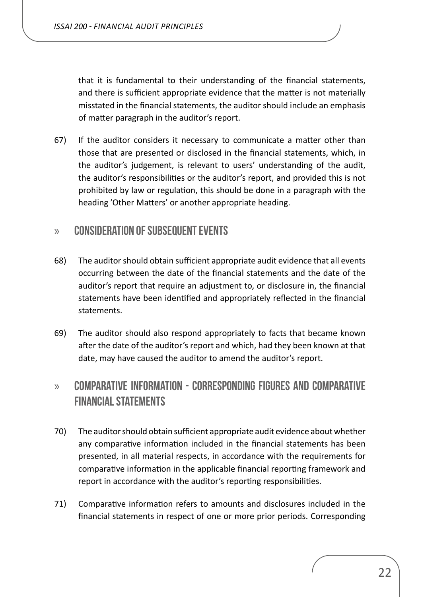<span id="page-21-0"></span>that it is fundamental to their understanding of the financial statements, and there is sufficient appropriate evidence that the matter is not materially misstated in the financial statements, the auditor should include an emphasis of matter paragraph in the auditor's report.

67) If the auditor considers it necessary to communicate a matter other than those that are presented or disclosed in the financial statements, which, in the auditor's judgement, is relevant to users' understanding of the audit, the auditor's responsibilities or the auditor's report, and provided this is not prohibited by law or regulation, this should be done in a paragraph with the heading 'Other Matters' or another appropriate heading.

#### » **Consideration of subsequent events**

- 68) The auditor should obtain sufficient appropriate audit evidence that all events occurring between the date of the financial statements and the date of the auditor's report that require an adjustment to, or disclosure in, the financial statements have been identified and appropriately reflected in the financial statements.
- 69) The auditor should also respond appropriately to facts that became known after the date of the auditor's report and which, had they been known at that date, may have caused the auditor to amend the auditor's report.

## » **Comparative information - corresponding figures and comparative financial statements**

- 70) The auditorshould obtain sufficient appropriate audit evidence about whether any comparative information included in the financial statements has been presented, in all material respects, in accordance with the requirements for comparative information in the applicable financial reporting framework and report in accordance with the auditor's reporting responsibilities.
- 71) Comparative information refers to amounts and disclosures included in the financial statements in respect of one or more prior periods. Corresponding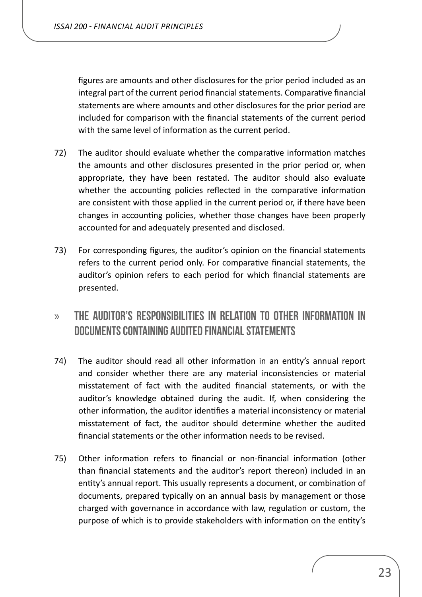<span id="page-22-0"></span>figures are amounts and other disclosures for the prior period included as an integral part of the current period financial statements. Comparative financial statements are where amounts and other disclosures for the prior period are included for comparison with the financial statements of the current period with the same level of information as the current period.

- 72) The auditor should evaluate whether the comparative information matches the amounts and other disclosures presented in the prior period or, when appropriate, they have been restated. The auditor should also evaluate whether the accounting policies reflected in the comparative information are consistent with those applied in the current period or, if there have been changes in accounting policies, whether those changes have been properly accounted for and adequately presented and disclosed.
- 73) For corresponding figures, the auditor's opinion on the financial statements refers to the current period only. For comparative financial statements, the auditor's opinion refers to each period for which financial statements are presented.
- » **The auditor's responsibilities in relation to other information in documents containing audited financial statements**
- 74) The auditor should read all other information in an entity's annual report and consider whether there are any material inconsistencies or material misstatement of fact with the audited financial statements, or with the auditor's knowledge obtained during the audit. If, when considering the other information, the auditor identifies a material inconsistency or material misstatement of fact, the auditor should determine whether the audited financial statements or the other information needs to be revised.
- 75) Other information refers to financial or non-financial information (other than financial statements and the auditor's report thereon) included in an entity's annual report. This usually represents a document, or combination of documents, prepared typically on an annual basis by management or those charged with governance in accordance with law, regulation or custom, the purpose of which is to provide stakeholders with information on the entity's